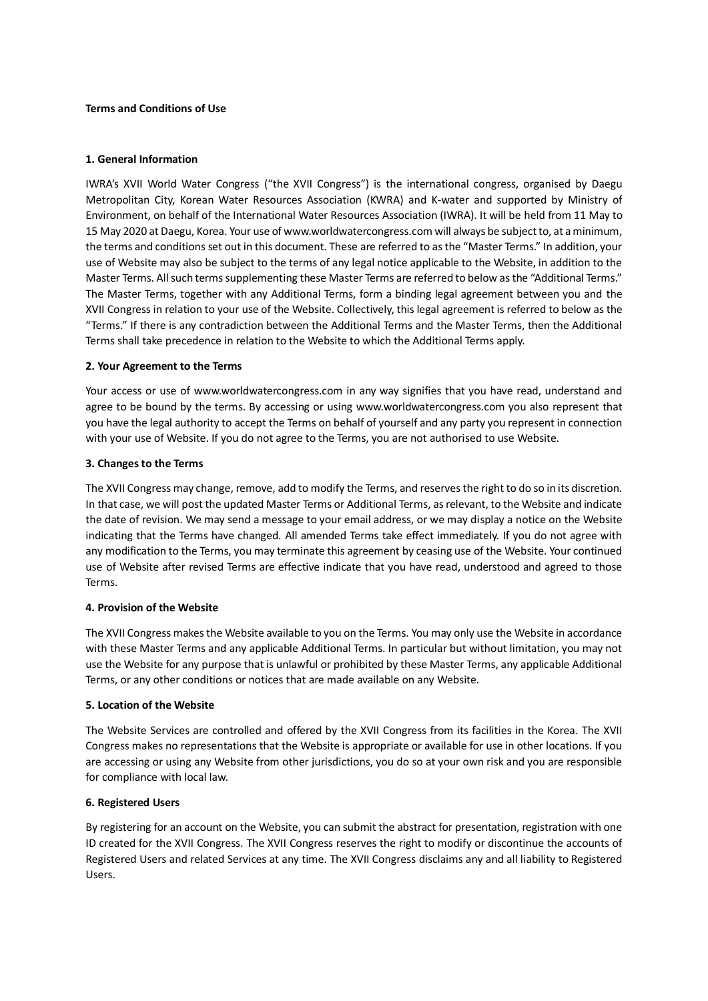#### **Terms and Conditions of Use**

#### **1. General Information**

IWRA's XVII World Water Congress ("the XVII Congress") is the international congress, organised by Daegu Metropolitan City, Korean Water Resources Association (KWRA) and K-water and supported by Ministry of Environment, on behalf of the International Water Resources Association (IWRA). It will be held from 11 May to 15 May 2020 at Daegu, Korea. Your use of www.worldwatercongress.com will always be subject to, at a minimum, the terms and conditions set out in this document. These are referred to as the "Master Terms." In addition, your use of Website may also be subject to the terms of any legal notice applicable to the Website, in addition to the Master Terms. All such terms supplementing these Master Terms are referred to below as the "Additional Terms." The Master Terms, together with any Additional Terms, form a binding legal agreement between you and the XVII Congress in relation to your use of the Website. Collectively, this legal agreement is referred to below as the "Terms." If there is any contradiction between the Additional Terms and the Master Terms, then the Additional Terms shall take precedence in relation to the Website to which the Additional Terms apply.

## **2. Your Agreement to the Terms**

Your access or use of www.worldwatercongress.com in any way signifies that you have read, understand and agree to be bound by the terms. By accessing or using www.worldwatercongress.com you also represent that you have the legal authority to accept the Terms on behalf of yourself and any party you represent in connection with your use of Website. If you do not agree to the Terms, you are not authorised to use Website.

## **3. Changes to the Terms**

The XVII Congress may change, remove, add to modify the Terms, and reserves the right to do so in its discretion. In that case, we will post the updated Master Terms or Additional Terms, as relevant, to the Website and indicate the date of revision. We may send a message to your email address, or we may display a notice on the Website indicating that the Terms have changed. All amended Terms take effect immediately. If you do not agree with any modification to the Terms, you may terminate this agreement by ceasing use of the Website. Your continued use of Website after revised Terms are effective indicate that you have read, understood and agreed to those Terms.

## **4. Provision of the Website**

The XVII Congress makes the Website available to you on the Terms. You may only use the Website in accordance with these Master Terms and any applicable Additional Terms. In particular but without limitation, you may not use the Website for any purpose that is unlawful or prohibited by these Master Terms, any applicable Additional Terms, or any other conditions or notices that are made available on any Website.

## **5. Location of the Website**

The Website Services are controlled and offered by the XVII Congress from its facilities in the Korea. The XVII Congress makes no representations that the Website is appropriate or available for use in other locations. If you are accessing or using any Website from other jurisdictions, you do so at your own risk and you are responsible for compliance with local law.

## **6. Registered Users**

By registering for an account on the Website, you can submit the abstract for presentation, registration with one ID created for the XVII Congress. The XVII Congress reserves the right to modify or discontinue the accounts of Registered Users and related Services at any time. The XVII Congress disclaims any and all liability to Registered Users.